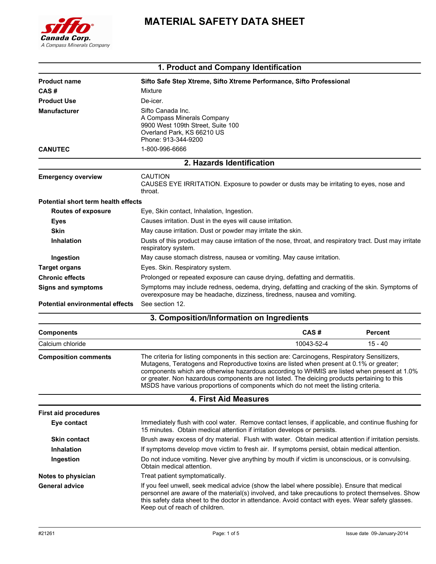

# **MATERIAL SAFETY DATA SHEET**

|                                        | 1. Product and Company Identification                                                                                                                                                                                                                                                                                                                                                                                                                                            |            |                |
|----------------------------------------|----------------------------------------------------------------------------------------------------------------------------------------------------------------------------------------------------------------------------------------------------------------------------------------------------------------------------------------------------------------------------------------------------------------------------------------------------------------------------------|------------|----------------|
| <b>Product name</b>                    | Sifto Safe Step Xtreme, Sifto Xtreme Performance, Sifto Professional                                                                                                                                                                                                                                                                                                                                                                                                             |            |                |
| CAS#                                   | Mixture                                                                                                                                                                                                                                                                                                                                                                                                                                                                          |            |                |
| <b>Product Use</b>                     | De-icer.                                                                                                                                                                                                                                                                                                                                                                                                                                                                         |            |                |
| <b>Manufacturer</b>                    | Sifto Canada Inc.<br>A Compass Minerals Company<br>9900 West 109th Street, Suite 100<br>Overland Park, KS 66210 US<br>Phone: 913-344-9200                                                                                                                                                                                                                                                                                                                                        |            |                |
| <b>CANUTEC</b>                         | 1-800-996-6666                                                                                                                                                                                                                                                                                                                                                                                                                                                                   |            |                |
|                                        | 2. Hazards Identification                                                                                                                                                                                                                                                                                                                                                                                                                                                        |            |                |
| <b>Emergency overview</b>              | <b>CAUTION</b><br>CAUSES EYE IRRITATION. Exposure to powder or dusts may be irritating to eyes, nose and<br>throat.                                                                                                                                                                                                                                                                                                                                                              |            |                |
| Potential short term health effects    |                                                                                                                                                                                                                                                                                                                                                                                                                                                                                  |            |                |
| <b>Routes of exposure</b>              | Eye, Skin contact, Inhalation, Ingestion.                                                                                                                                                                                                                                                                                                                                                                                                                                        |            |                |
| <b>Eyes</b>                            | Causes irritation. Dust in the eyes will cause irritation.                                                                                                                                                                                                                                                                                                                                                                                                                       |            |                |
| <b>Skin</b>                            | May cause irritation. Dust or powder may irritate the skin.                                                                                                                                                                                                                                                                                                                                                                                                                      |            |                |
| <b>Inhalation</b>                      | Dusts of this product may cause irritation of the nose, throat, and respiratory tract. Dust may irritate<br>respiratory system.                                                                                                                                                                                                                                                                                                                                                  |            |                |
| Ingestion                              | May cause stomach distress, nausea or vomiting. May cause irritation.                                                                                                                                                                                                                                                                                                                                                                                                            |            |                |
| <b>Target organs</b>                   | Eyes. Skin. Respiratory system.                                                                                                                                                                                                                                                                                                                                                                                                                                                  |            |                |
| <b>Chronic effects</b>                 | Prolonged or repeated exposure can cause drying, defatting and dermatitis.                                                                                                                                                                                                                                                                                                                                                                                                       |            |                |
| <b>Signs and symptoms</b>              | Symptoms may include redness, oedema, drying, defatting and cracking of the skin. Symptoms of<br>overexposure may be headache, dizziness, tiredness, nausea and vomiting.                                                                                                                                                                                                                                                                                                        |            |                |
| <b>Potential environmental effects</b> | See section 12.                                                                                                                                                                                                                                                                                                                                                                                                                                                                  |            |                |
|                                        | 3. Composition/Information on Ingredients                                                                                                                                                                                                                                                                                                                                                                                                                                        |            |                |
| <b>Components</b>                      |                                                                                                                                                                                                                                                                                                                                                                                                                                                                                  | CAS#       | <b>Percent</b> |
| Calcium chloride                       |                                                                                                                                                                                                                                                                                                                                                                                                                                                                                  | 10043-52-4 | $15 - 40$      |
| <b>Composition comments</b>            | The criteria for listing components in this section are: Carcinogens, Respiratory Sensitizers,<br>Mutagens, Teratogens and Reproductive toxins are listed when present at 0.1% or greater;<br>components which are otherwise hazardous according to WHMIS are listed when present at 1.0%<br>or greater. Non hazardous components are not listed. The deicing products pertaining to this<br>MSDS have various proportions of components which do not meet the listing criteria. |            |                |
|                                        | <b>4. First Aid Measures</b>                                                                                                                                                                                                                                                                                                                                                                                                                                                     |            |                |
| <b>First aid procedures</b>            |                                                                                                                                                                                                                                                                                                                                                                                                                                                                                  |            |                |
| Eye contact                            | Immediately flush with cool water. Remove contact lenses, if applicable, and continue flushing for<br>15 minutes. Obtain medical attention if irritation develops or persists.                                                                                                                                                                                                                                                                                                   |            |                |
| <b>Skin contact</b>                    | Brush away excess of dry material. Flush with water. Obtain medical attention if irritation persists.                                                                                                                                                                                                                                                                                                                                                                            |            |                |
| <b>Inhalation</b>                      | If symptoms develop move victim to fresh air. If symptoms persist, obtain medical attention.                                                                                                                                                                                                                                                                                                                                                                                     |            |                |
|                                        |                                                                                                                                                                                                                                                                                                                                                                                                                                                                                  |            |                |

**Ingestion** Do not induce vomiting. Never give anything by mouth if victim is unconscious, or is convulsing. Obtain medical attention. **Notes to physician** Treat patient symptomatically. General advice **If you feel unwell, seek medical advice (show the label where possible). Ensure that medical** 

personnel are aware of the material(s) involved, and take precautions to protect themselves. Show this safety data sheet to the doctor in attendance. Avoid contact with eyes. Wear safety glasses. Keep out of reach of children.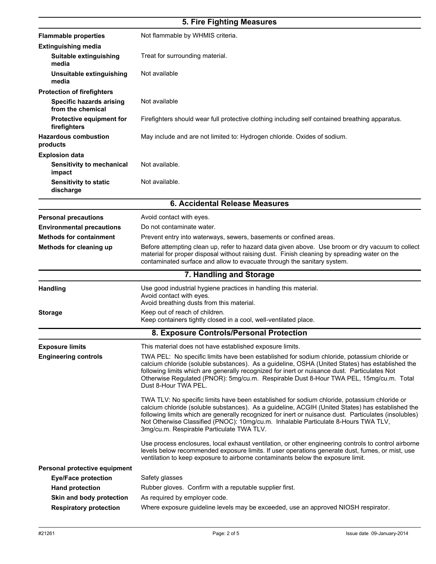# **5. Fire Fighting Measures**

| <b>Flammable properties</b>                          | Not flammable by WHMIS criteria.                                                                                                                                                                                                                                                                                                                                                                                                             |  |  |
|------------------------------------------------------|----------------------------------------------------------------------------------------------------------------------------------------------------------------------------------------------------------------------------------------------------------------------------------------------------------------------------------------------------------------------------------------------------------------------------------------------|--|--|
| <b>Extinguishing media</b>                           |                                                                                                                                                                                                                                                                                                                                                                                                                                              |  |  |
| Suitable extinguishing<br>media                      | Treat for surrounding material.                                                                                                                                                                                                                                                                                                                                                                                                              |  |  |
| Unsuitable extinguishing<br>media                    | Not available                                                                                                                                                                                                                                                                                                                                                                                                                                |  |  |
| <b>Protection of firefighters</b>                    |                                                                                                                                                                                                                                                                                                                                                                                                                                              |  |  |
| <b>Specific hazards arising</b><br>from the chemical | Not available                                                                                                                                                                                                                                                                                                                                                                                                                                |  |  |
| <b>Protective equipment for</b><br>firefighters      | Firefighters should wear full protective clothing including self contained breathing apparatus.                                                                                                                                                                                                                                                                                                                                              |  |  |
| <b>Hazardous combustion</b><br>products              | May include and are not limited to: Hydrogen chloride. Oxides of sodium.                                                                                                                                                                                                                                                                                                                                                                     |  |  |
| <b>Explosion data</b>                                |                                                                                                                                                                                                                                                                                                                                                                                                                                              |  |  |
| <b>Sensitivity to mechanical</b><br>impact           | Not available.                                                                                                                                                                                                                                                                                                                                                                                                                               |  |  |
| <b>Sensitivity to static</b><br>discharge            | Not available.                                                                                                                                                                                                                                                                                                                                                                                                                               |  |  |
| 6. Accidental Release Measures                       |                                                                                                                                                                                                                                                                                                                                                                                                                                              |  |  |
| <b>Personal precautions</b>                          | Avoid contact with eyes.                                                                                                                                                                                                                                                                                                                                                                                                                     |  |  |
| <b>Environmental precautions</b>                     | Do not contaminate water.                                                                                                                                                                                                                                                                                                                                                                                                                    |  |  |
| <b>Methods for containment</b>                       | Prevent entry into waterways, sewers, basements or confined areas.                                                                                                                                                                                                                                                                                                                                                                           |  |  |
| Methods for cleaning up                              | Before attempting clean up, refer to hazard data given above. Use broom or dry vacuum to collect<br>material for proper disposal without raising dust. Finish cleaning by spreading water on the<br>contaminated surface and allow to evacuate through the sanitary system.                                                                                                                                                                  |  |  |
|                                                      | 7. Handling and Storage                                                                                                                                                                                                                                                                                                                                                                                                                      |  |  |
| <b>Handling</b>                                      | Use good industrial hygiene practices in handling this material.<br>Avoid contact with eyes.<br>Avoid breathing dusts from this material.                                                                                                                                                                                                                                                                                                    |  |  |
| <b>Storage</b>                                       | Keep out of reach of children.<br>Keep containers tightly closed in a cool, well-ventilated place.                                                                                                                                                                                                                                                                                                                                           |  |  |
|                                                      | 8. Exposure Controls/Personal Protection                                                                                                                                                                                                                                                                                                                                                                                                     |  |  |
| <b>Exposure limits</b>                               | This material does not have established exposure limits.                                                                                                                                                                                                                                                                                                                                                                                     |  |  |
| <b>Engineering controls</b>                          | TWA PEL: No specific limits have been established for sodium chloride, potassium chloride or<br>calcium chloride (soluble substances). As a guideline, OSHA (United States) has established the<br>following limits which are generally recognized for inert or nuisance dust. Particulates Not<br>Otherwise Regulated (PNOR): 5mg/cu.m. Respirable Dust 8-Hour TWA PEL, 15mg/cu.m. Total<br>Dust 8-Hour TWA PEL.                            |  |  |
|                                                      | TWA TLV: No specific limits have been established for sodium chloride, potassium chloride or<br>calcium chloride (soluble substances). As a guideline, ACGIH (United States) has established the<br>following limits which are generally recognized for inert or nuisance dust. Particulates (insolubles)<br>Not Otherwise Classified (PNOC): 10mg/cu.m. Inhalable Particulate 8-Hours TWA TLV,<br>3mg/cu.m. Respirable Particulate TWA TLV. |  |  |
|                                                      | Use process enclosures, local exhaust ventilation, or other engineering controls to control airborne<br>levels below recommended exposure limits. If user operations generate dust, fumes, or mist, use<br>ventilation to keep exposure to airborne contaminants below the exposure limit.                                                                                                                                                   |  |  |
| Personal protective equipment                        |                                                                                                                                                                                                                                                                                                                                                                                                                                              |  |  |
| <b>Eye/Face protection</b>                           | Safety glasses                                                                                                                                                                                                                                                                                                                                                                                                                               |  |  |
| <b>Hand protection</b>                               | Rubber gloves. Confirm with a reputable supplier first.                                                                                                                                                                                                                                                                                                                                                                                      |  |  |
| Skin and body protection                             | As required by employer code.                                                                                                                                                                                                                                                                                                                                                                                                                |  |  |
| <b>Respiratory protection</b>                        | Where exposure guideline levels may be exceeded, use an approved NIOSH respirator.                                                                                                                                                                                                                                                                                                                                                           |  |  |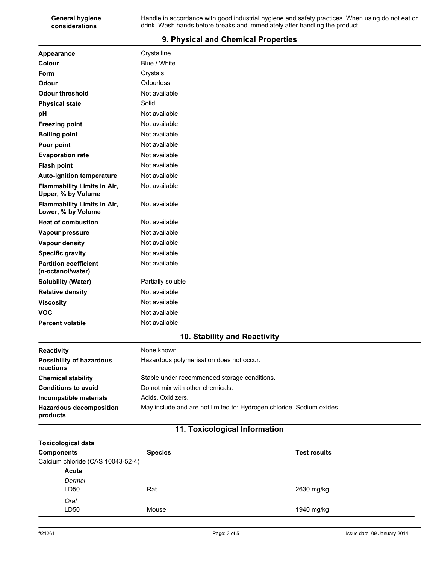| Appearance                                               | Crystalline.      |  |
|----------------------------------------------------------|-------------------|--|
| Colour                                                   | Blue / White      |  |
| Form                                                     | Crystals          |  |
| Odour                                                    | Odourless         |  |
| <b>Odour threshold</b>                                   | Not available.    |  |
| <b>Physical state</b>                                    | Solid.            |  |
| pH                                                       | Not available.    |  |
| <b>Freezing point</b>                                    | Not available.    |  |
| <b>Boiling point</b>                                     | Not available.    |  |
| Pour point                                               | Not available.    |  |
| <b>Evaporation rate</b>                                  | Not available.    |  |
| <b>Flash point</b>                                       | Not available.    |  |
| <b>Auto-ignition temperature</b>                         | Not available.    |  |
| <b>Flammability Limits in Air,</b><br>Upper, % by Volume | Not available.    |  |
| <b>Flammability Limits in Air,</b><br>Lower, % by Volume | Not available.    |  |
| <b>Heat of combustion</b>                                | Not available.    |  |
| Vapour pressure                                          | Not available.    |  |
| <b>Vapour density</b>                                    | Not available.    |  |
| <b>Specific gravity</b>                                  | Not available.    |  |
| <b>Partition coefficient</b><br>(n-octanol/water)        | Not available.    |  |
| <b>Solubility (Water)</b>                                | Partially soluble |  |
| <b>Relative density</b>                                  | Not available.    |  |
| <b>Viscosity</b>                                         | Not available.    |  |
| <b>VOC</b>                                               | Not available.    |  |
| <b>Percent volatile</b>                                  | Not available.    |  |
| 10. Stability and Reactivity                             |                   |  |

**9. Physical and Chemical Properties**

| <b>Reactivity</b>                            | None known.                                                           |
|----------------------------------------------|-----------------------------------------------------------------------|
| <b>Possibility of hazardous</b><br>reactions | Hazardous polymerisation does not occur.                              |
| <b>Chemical stability</b>                    | Stable under recommended storage conditions.                          |
| <b>Conditions to avoid</b>                   | Do not mix with other chemicals.                                      |
| Incompatible materials                       | Acids, Oxidizers.                                                     |
| <b>Hazardous decomposition</b><br>products   | May include and are not limited to: Hydrogen chloride. Sodium oxides. |

## **11. Toxicological Information**

| <b>Toxicological data</b><br><b>Components</b><br>Calcium chloride (CAS 10043-52-4) | <b>Species</b> | <b>Test results</b> |
|-------------------------------------------------------------------------------------|----------------|---------------------|
| <b>Acute</b>                                                                        |                |                     |
| Dermal                                                                              |                |                     |
| LD50                                                                                | Rat            | 2630 mg/kg          |
| Oral                                                                                |                |                     |
| LD50                                                                                | Mouse          | 1940 mg/kg          |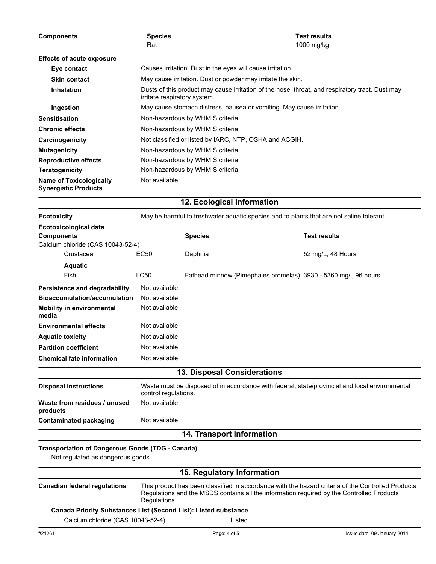| <b>Components</b>                                                                      | <b>Species</b><br>Rat                                                                                                  |                                                                                                                                 | <b>Test results</b><br>1000 mg/kg                                                        |  |
|----------------------------------------------------------------------------------------|------------------------------------------------------------------------------------------------------------------------|---------------------------------------------------------------------------------------------------------------------------------|------------------------------------------------------------------------------------------|--|
| <b>Effects of acute exposure</b>                                                       |                                                                                                                        |                                                                                                                                 |                                                                                          |  |
| Eye contact                                                                            | Causes irritation. Dust in the eyes will cause irritation.                                                             |                                                                                                                                 |                                                                                          |  |
| <b>Skin contact</b>                                                                    |                                                                                                                        | May cause irritation. Dust or powder may irritate the skin.                                                                     |                                                                                          |  |
| <b>Inhalation</b>                                                                      |                                                                                                                        | Dusts of this product may cause irritation of the nose, throat, and respiratory tract. Dust may<br>irritate respiratory system. |                                                                                          |  |
| Ingestion                                                                              |                                                                                                                        | May cause stomach distress, nausea or vomiting. May cause irritation.                                                           |                                                                                          |  |
| <b>Sensitisation</b>                                                                   |                                                                                                                        | Non-hazardous by WHMIS criteria.                                                                                                |                                                                                          |  |
| <b>Chronic effects</b>                                                                 |                                                                                                                        | Non-hazardous by WHMIS criteria.                                                                                                |                                                                                          |  |
| Carcinogenicity                                                                        |                                                                                                                        | Not classified or listed by IARC, NTP, OSHA and ACGIH.                                                                          |                                                                                          |  |
| <b>Mutagenicity</b>                                                                    |                                                                                                                        | Non-hazardous by WHMIS criteria.                                                                                                |                                                                                          |  |
| <b>Reproductive effects</b>                                                            |                                                                                                                        | Non-hazardous by WHMIS criteria.                                                                                                |                                                                                          |  |
| <b>Teratogenicity</b>                                                                  |                                                                                                                        | Non-hazardous by WHMIS criteria.                                                                                                |                                                                                          |  |
| <b>Name of Toxicologically</b><br><b>Synergistic Products</b>                          | Not available.                                                                                                         |                                                                                                                                 |                                                                                          |  |
|                                                                                        |                                                                                                                        | 12. Ecological Information                                                                                                      |                                                                                          |  |
| <b>Ecotoxicity</b>                                                                     |                                                                                                                        |                                                                                                                                 | May be harmful to freshwater aquatic species and to plants that are not saline tolerant. |  |
| <b>Ecotoxicological data</b><br><b>Components</b><br>Calcium chloride (CAS 10043-52-4) |                                                                                                                        | <b>Species</b>                                                                                                                  | <b>Test results</b>                                                                      |  |
| Crustacea                                                                              | EC50                                                                                                                   | Daphnia                                                                                                                         | 52 mg/L, 48 Hours                                                                        |  |
| <b>Aquatic</b>                                                                         |                                                                                                                        |                                                                                                                                 |                                                                                          |  |
| Fish                                                                                   | LC50                                                                                                                   |                                                                                                                                 | Fathead minnow (Pimephales promelas) 3930 - 5360 mg/l, 96 hours                          |  |
| Persistence and degradability                                                          | Not available.                                                                                                         |                                                                                                                                 |                                                                                          |  |
| <b>Bioaccumulation/accumulation</b>                                                    | Not available.                                                                                                         |                                                                                                                                 |                                                                                          |  |
| <b>Mobility in environmental</b><br>media                                              | Not available.                                                                                                         |                                                                                                                                 |                                                                                          |  |
| <b>Environmental effects</b>                                                           | Not available.                                                                                                         |                                                                                                                                 |                                                                                          |  |
| <b>Aquatic toxicity</b>                                                                | Not available.                                                                                                         |                                                                                                                                 |                                                                                          |  |
| <b>Partition coefficient</b>                                                           | Not available.                                                                                                         |                                                                                                                                 |                                                                                          |  |
| <b>Chemical fate information</b>                                                       | Not available.                                                                                                         |                                                                                                                                 |                                                                                          |  |
|                                                                                        |                                                                                                                        | <b>13. Disposal Considerations</b>                                                                                              |                                                                                          |  |
| <b>Disposal instructions</b>                                                           | Waste must be disposed of in accordance with federal, state/provincial and local environmental<br>control regulations. |                                                                                                                                 |                                                                                          |  |
| Waste from residues / unused<br>products                                               | Not available                                                                                                          |                                                                                                                                 |                                                                                          |  |

## **Contaminated packaging** Not available

## **14. Transport Information**

#### **Transportation of Dangerous Goods (TDG - Canada)**

Not regulated as dangerous goods.

## **15. Regulatory Information**

| <b>Canadian federal regulations</b>                                    | This product has been classified in accordance with the hazard criteria of the Controlled Products<br>Regulations and the MSDS contains all the information reguired by the Controlled Products<br>Regulations. |              |                            |
|------------------------------------------------------------------------|-----------------------------------------------------------------------------------------------------------------------------------------------------------------------------------------------------------------|--------------|----------------------------|
| <b>Canada Priority Substances List (Second List): Listed substance</b> |                                                                                                                                                                                                                 |              |                            |
| Calcium chloride (CAS 10043-52-4)                                      |                                                                                                                                                                                                                 | Listed.      |                            |
| #21261                                                                 |                                                                                                                                                                                                                 | Page: 4 of 5 | Issue date 09-January-2014 |